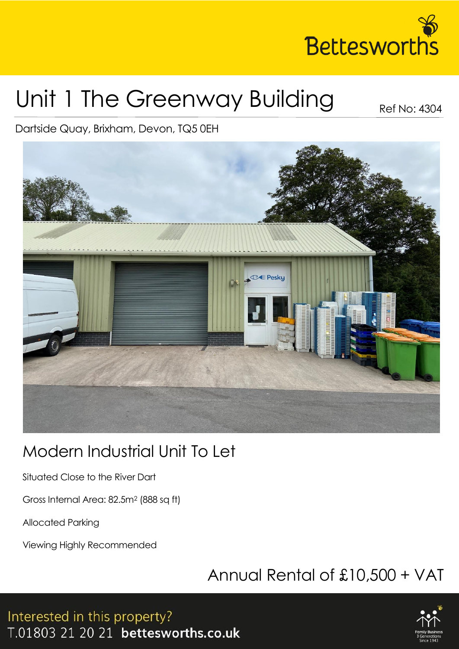

# Unit 1 The Greenway Building

Ref No: 4304

Dartside Quay, Brixham, Devon, TQ5 0EH



## Modern Industrial Unit To Let

Situated Close to the River Dart

Gross Internal Area: 82.5m<sup>2</sup> (888 sq ft)

Allocated Parking

Viewing Highly Recommended

## Annual Rental of £10,500 + VAT

Interested in this property? T.01803 21 20 21 bettesworths.co.uk